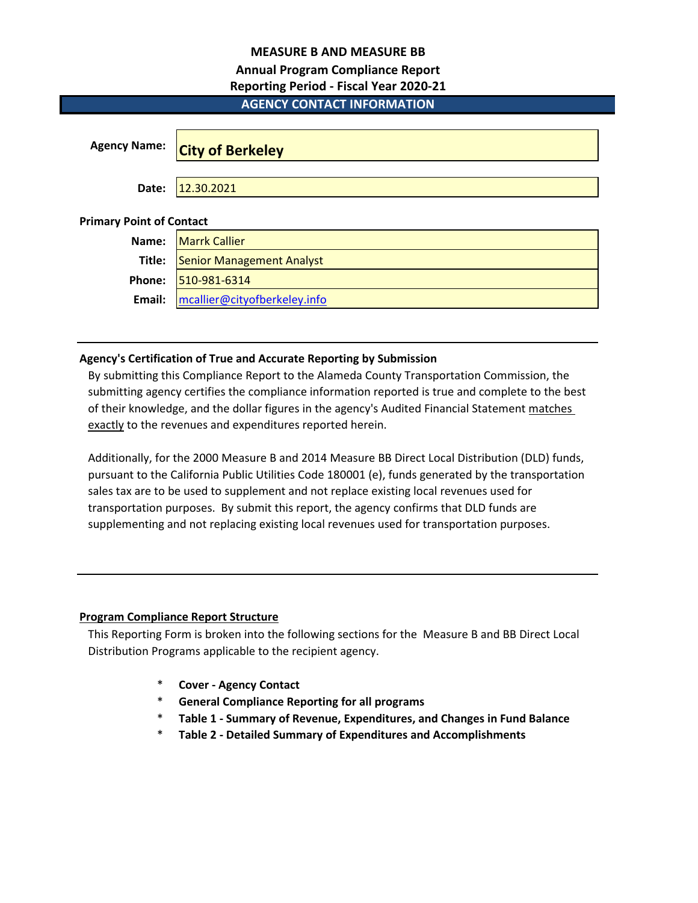# **MEASURE B AND MEASURE BB**

# **Annual Program Compliance Report**

# **Reporting Period - Fiscal Year 2020-21**

# **AGENCY CONTACT INFORMATION**

| <b>Agency Name:</b>             | <b>City of Berkeley</b>          |
|---------------------------------|----------------------------------|
| Date:                           | 12.30.2021                       |
| <b>Primary Point of Contact</b> |                                  |
| Name:                           | <b>Marrk Callier</b>             |
| Title:                          | <b>Senior Management Analyst</b> |
| Phone:                          | 510-981-6314                     |
| Email:                          | mcallier@cityofberkeley.info     |

# **Agency's Certification of True and Accurate Reporting by Submission**

By submitting this Compliance Report to the Alameda County Transportation Commission, the submitting agency certifies the compliance information reported is true and complete to the best of their knowledge, and the dollar figures in the agency's Audited Financial Statement matches exactly to the revenues and expenditures reported herein.

Additionally, for the 2000 Measure B and 2014 Measure BB Direct Local Distribution (DLD) funds, pursuant to the California Public Utilities Code 180001 (e), funds generated by the transportation sales tax are to be used to supplement and not replace existing local revenues used for transportation purposes. By submit this report, the agency confirms that DLD funds are supplementing and not replacing existing local revenues used for transportation purposes.

# **Program Compliance Report Structure**

This Reporting Form is broken into the following sections for the Measure B and BB Direct Local Distribution Programs applicable to the recipient agency.

- \* **Cover Agency Contact**
- \* **General Compliance Reporting for all programs**
- \* **Table 1 Summary of Revenue, Expenditures, and Changes in Fund Balance**
- \* **Table 2 Detailed Summary of Expenditures and Accomplishments**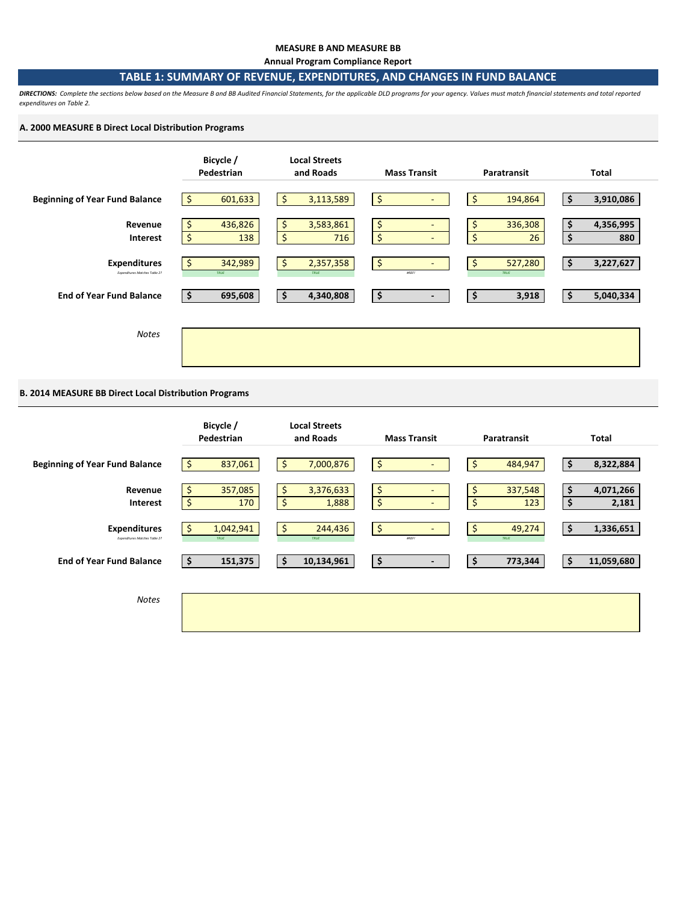## **MEASURE B AND MEASURE BB**

**Annual Program Compliance Report**

# **TABLE 1: SUMMARY OF REVENUE, EXPENDITURES, AND CHANGES IN FUND BALANCE**

*DIRECTIONS: Complete the sections below based on the Measure B and BB Audited Financial Statements, for the applicable DLD programs for your agency. Values must match financial statements and total reported expenditures on Table 2.* 

## **A. 2000 MEASURE B Direct Local Distribution Programs**



## **B. 2014 MEASURE BB Direct Local Distribution Programs**

|                                                      | Bicycle /<br>Pedestrian    | <b>Local Streets</b><br>and Roads | <b>Mass Transit</b>                            | Paratransit                | <b>Total</b>                   |
|------------------------------------------------------|----------------------------|-----------------------------------|------------------------------------------------|----------------------------|--------------------------------|
| <b>Beginning of Year Fund Balance</b>                | 837,061<br>\$              | \$<br>7,000,876                   | \$                                             | \$<br>484,947              | \$<br>8,322,884                |
| Revenue<br><b>Interest</b>                           | 357,085<br>\$<br>\$<br>170 | 3,376,633<br>\$<br>\$<br>1,888    | \$<br>$\overline{\phantom{a}}$<br>\$<br>$\sim$ | \$<br>337,548<br>\$<br>123 | 4,071,266<br>\$<br>\$<br>2,181 |
| <b>Expenditures</b><br>Expenditures Matches Table 2? | 1,042,941<br>Ŝ<br>TRUE     | \$<br>244,436<br>TRUE             | \$<br>$\overline{\phantom{0}}$<br><b>#REF!</b> | 49,274<br>\$<br>TRUE       | 1,336,651<br>\$                |
| <b>End of Year Fund Balance</b>                      | 151,375<br>\$              | \$<br>10,134,961                  | \$<br>$\overline{\phantom{a}}$                 | \$<br>773,344              | 11,059,680<br>\$               |
| <b>Notes</b>                                         |                            |                                   |                                                |                            |                                |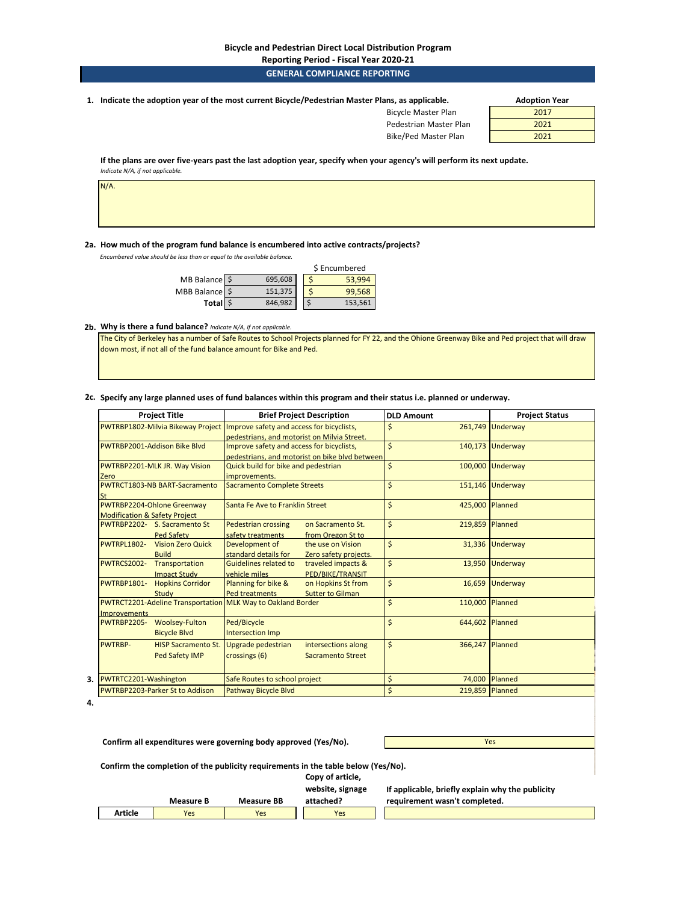#### **Bicycle and Pedestrian Direct Local Distribution Program**

## **Reporting Period - Fiscal Year 2020-21**

## **GENERAL COMPLIANCE REPORTING**

**1. Adoption Year Indicate the adoption year of the most current Bicycle/Pedestrian Master Plans, as applicable.** 

Bicycle Master Plan Pedestrian Master Plan

Bike/Ped Master Plan

| <b>Adoption Year</b> |  |
|----------------------|--|
| 2017                 |  |
| 2021                 |  |
| 2021                 |  |

**If the plans are over five-years past the last adoption year, specify when your agency's will perform its next update.**  *Indicate N/A, if not applicable.* 

N/A.

## **2a. How much of the program fund balance is encumbered into active contracts/projects?**

*Encumbered value should be less than or equal to the available balance.* 

|               |         | \$ Encumbered |
|---------------|---------|---------------|
| MB Balance \$ | 695,608 | 53,994        |
| MBB Balance   | 151,375 | 99,568        |
| Total \$      | 846,982 | 153,561       |

## **2b. Why is there a fund balance?** *Indicate N/A, if not applicable.*

The City of Berkeley has a number of Safe Routes to School Projects planned for FY 22, and the Ohione Greenway Bike and Ped project that will draw down most, if not all of the fund balance amount for Bike and Ped.

#### **2c. Specify any large planned uses of fund balances within this program and their status i.e. planned or underway.**

| <b>Project Title</b>                                               | <b>Brief Project Description</b>                   | <b>DLD Amount</b>                     | <b>Project Status</b> |
|--------------------------------------------------------------------|----------------------------------------------------|---------------------------------------|-----------------------|
| PWTRBP1802-Milvia Bikeway Project                                  | Improve safety and access for bicyclists,          | \$                                    | 261,749 Underway      |
|                                                                    | pedestrians, and motorist on Milvia Street.        |                                       |                       |
| PWTRBP2001-Addison Bike Blvd                                       | Improve safety and access for bicyclists,          | $\mathsf{\hat{S}}$                    | 140.173 Underway      |
|                                                                    | pedestrians, and motorist on bike blyd between     |                                       |                       |
| PWTRBP2201-MLK JR. Way Vision                                      | Quick build for bike and pedestrian                | \$                                    | 100,000 Underway      |
| Zero                                                               | improvements.                                      |                                       |                       |
| PWTRCT1803-NB BART-Sacramento                                      | <b>Sacramento Complete Streets</b>                 | \$                                    | 151,146 Underway      |
| <b>St</b>                                                          |                                                    |                                       |                       |
| PWTRBP2204-Ohlone Greenway                                         | Santa Fe Ave to Franklin Street                    | $\mathsf{\hat{S}}$<br>425,000 Planned |                       |
| <b>Modification &amp; Safety Project</b>                           |                                                    |                                       |                       |
| PWTRBP2202- S. Sacramento St                                       | <b>Pedestrian crossing</b><br>on Sacramento St.    | $\mathsf{\hat{S}}$                    | 219,859 Planned       |
| <b>Ped Safety</b>                                                  | safety treatments<br>from Oregon St to             |                                       |                       |
| PWTRPL1802-<br><b>Vision Zero Quick</b>                            | Development of<br>the use on Vision                | \$<br>31,336                          | Underway              |
| <b>Build</b>                                                       | standard details for<br>Zero safety projects.      |                                       |                       |
| <b>PWTRCS2002-</b><br>Transportation                               | <b>Guidelines related to</b><br>traveled impacts & | \$<br>13,950                          | <b>Underway</b>       |
| <b>Impact Study</b>                                                | PED/BIKE/TRANSIT<br>vehicle miles                  |                                       |                       |
| <b>Hopkins Corridor</b><br><b>PWTRBP1801-</b>                      | Planning for bike &<br>on Hopkins St from          | \$<br>16,659                          | Underway              |
| Study                                                              | <b>Ped treatments</b><br><b>Sutter to Gilman</b>   |                                       |                       |
| <b>PWTRCT2201-Adeline Transportation MLK Way to Oakland Border</b> |                                                    | \$                                    | 110,000 Planned       |
| <b>Improvements</b>                                                |                                                    |                                       |                       |
| <b>Woolsey-Fulton</b><br><b>PWTRBP2205-</b>                        | Ped/Bicycle                                        | \$<br>644,602 Planned                 |                       |
| <b>Bicycle Blvd</b>                                                | <b>Intersection Imp</b>                            |                                       |                       |
| <b>PWTRBP-</b><br><b>HISP Sacramento St.</b>                       | Upgrade pedestrian<br>intersections along          | \$<br>366,247 Planned                 |                       |
| Ped Safety IMP                                                     | crossings (6)<br><b>Sacramento Street</b>          |                                       |                       |
|                                                                    |                                                    |                                       |                       |
| PWTRTC2201-Washington<br>3.                                        | Safe Routes to school project                      | \$<br>74,000                          | Planned               |
| PWTRBP2203-Parker St to Addison                                    | Pathway Bicycle Blvd                               | \$<br>219,859 Planned                 |                       |

**4.**

 **Confirm all expenditures were governing body approved (Yes/No).**

Yes

**Confirm the completion of the publicity requirements in the table below (Yes/No).**

**Copy of article,** 

|         |                  |                   | website, signage | If applicable, briefly explain why the publicity |
|---------|------------------|-------------------|------------------|--------------------------------------------------|
|         | <b>Measure B</b> | <b>Measure BB</b> | attached?        | requirement wasn't completed.                    |
| Article | Yes              | Yes               | Yes              |                                                  |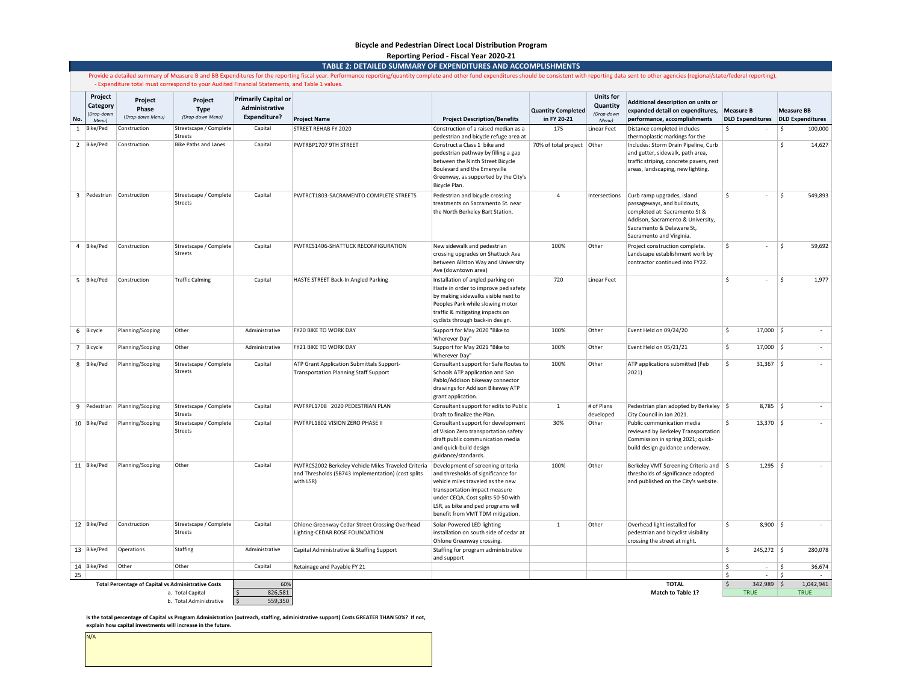#### **Bicycle and Pedestrian Direct Local Distribution Program**

**TABLE 2: DETAILED SUMMARY OF EXPENDITURES AND ACCOMPLISHMENTS Reporting Period - Fiscal Year 2020-21**

|     |                                                   |                                                            | - Expenditure total must correspond to your Audited Financial Statements, and Table 1 values. |                                                                      | Provide a detailed summary of Measure B and BB Expenditures for the reporting fiscal year. Performance reporting/quantity complete and other fund expenditures should be consistent with reporting data sent to other agencies |                                                                                                                                                                                                                                                               |                                          |                                                     |                                                                                                                                                                                          |                                     |            |                   |
|-----|---------------------------------------------------|------------------------------------------------------------|-----------------------------------------------------------------------------------------------|----------------------------------------------------------------------|--------------------------------------------------------------------------------------------------------------------------------------------------------------------------------------------------------------------------------|---------------------------------------------------------------------------------------------------------------------------------------------------------------------------------------------------------------------------------------------------------------|------------------------------------------|-----------------------------------------------------|------------------------------------------------------------------------------------------------------------------------------------------------------------------------------------------|-------------------------------------|------------|-------------------|
| No. | Project<br>Category<br>(Drop-down<br><b>Menul</b> | Project<br>Phase<br>(Drop-down Menu)                       | Project<br><b>Type</b><br>(Drop-down Menu)                                                    | <b>Primarily Capital or</b><br>Administrative<br><b>Expenditure?</b> | <b>Project Name</b>                                                                                                                                                                                                            | <b>Project Description/Benefits</b>                                                                                                                                                                                                                           | <b>Quantity Completed</b><br>in FY 20-21 | <b>Units for</b><br>Quantity<br>(Drop-down<br>Menu) | Additional description on units or<br>expanded detail on expenditures, Measure B<br>performance, accomplishments                                                                         | DLD Expenditures DLD Expenditures   |            | <b>Measure BB</b> |
| 1   | Bike/Ped                                          | Construction                                               | Streetscape / Complete<br>Streets                                                             | Capital                                                              | STREET REHAB FY 2020                                                                                                                                                                                                           | Construction of a raised median as a<br>pedestrian and bicycle refuge area at                                                                                                                                                                                 | 175                                      | Linear Feet                                         | Distance completed includes<br>thermoplastic markings for the                                                                                                                            | <sup>\$</sup><br>$\sim$             | \$         | 100,000           |
|     | 2 Bike/Ped                                        | Construction                                               | Bike Paths and Lanes                                                                          | Capital                                                              | PWTRBP1707 9TH STREET                                                                                                                                                                                                          | Construct a Class 1 bike and<br>pedestrian pathway by filling a gap<br>between the Ninth Street Bicycle<br>Boulevard and the Emeryville<br>Greenway, as supported by the City's<br>Bicycle Plan.                                                              | 70% of total project Other               |                                                     | Includes: Storm Drain Pipeline, Curb<br>and gutter, sidewalk, path area<br>traffic striping, concrete pavers, rest<br>areas, landscaping, new lighting.                                  |                                     | Ŝ.         | 14,627            |
|     | 3 Pedestrian                                      | Construction                                               | Streetscape / Complete<br>Streets                                                             | Capital                                                              | PWTRCT1803-SACRAMENTO COMPLETE STREETS                                                                                                                                                                                         | Pedestrian and bicycle crossing<br>treatments on Sacramento St. near<br>the North Berkeley Bart Station.                                                                                                                                                      | $\Delta$                                 | Intersections                                       | Curb ramp upgrades, island<br>passageways, and buildouts,<br>completed at: Sacramento St &<br>Addison, Sacramento & University,<br>Sacramento & Delaware St,<br>Sacramento and Virginia. | Ŝ.<br>$\sim$                        | l \$       | 549,893           |
|     | 4 Bike/Ped                                        | Construction                                               | Streetscape / Complete<br>Streets                                                             | Capital                                                              | PWTRCS1406-SHATTUCK RECONFIGURATION                                                                                                                                                                                            | New sidewalk and pedestrian<br>crossing upgrades on Shattuck Ave<br>between Allston Way and University<br>Ave (downtown area)                                                                                                                                 | 100%                                     | Other                                               | Project construction complete.<br>Landscape establishment work by<br>contractor continued into FY22.                                                                                     | Ŝ.<br>$\sim$                        | l s        | 59,692            |
|     | 5 Bike/Ped                                        | Construction                                               | <b>Traffic Calming</b>                                                                        | Capital                                                              | HASTE STREET Back-In Angled Parking                                                                                                                                                                                            | Installation of angled parking on<br>Haste in order to improve ped safety<br>by making sidewalks visible next to<br>Peoples Park while slowing motor<br>traffic & mitigating impacts on<br>cyclists through back-in design.                                   | 720                                      | Linear Feet                                         |                                                                                                                                                                                          | Ŝ.<br>$\sim$                        | ۱Ś.        | 1,977             |
|     | 6   Bicycle                                       | Planning/Scoping                                           | Other                                                                                         | Administrative                                                       | <b>FY20 BIKE TO WORK DAY</b>                                                                                                                                                                                                   | Support for May 2020 "Bike to<br>Wherever Day"                                                                                                                                                                                                                | 100%                                     | Other                                               | Event Held on 09/24/20                                                                                                                                                                   | \$<br>$17,000$ \$                   |            | $\sim$            |
|     | 7 Bicycle                                         | Planning/Scoping                                           | Other                                                                                         | Administrative                                                       | FY21 BIKE TO WORK DAY                                                                                                                                                                                                          | Support for May 2021 "Bike to<br>Wherever Day"                                                                                                                                                                                                                | 100%                                     | Other                                               | Event Held on 05/21/21                                                                                                                                                                   | \$<br>$17,000$ \$                   |            |                   |
|     | 8 Bike/Ped                                        | Planning/Scoping                                           | Streetscape / Complete<br>Streets                                                             | Capital                                                              | ATP Grant Application Submittals Support-<br><b>Transportation Planning Staff Support</b>                                                                                                                                      | Consultant support for Safe Routes to<br>Schools ATP application and San<br>Pablo/Addison bikeway connector<br>drawings for Addison Bikeway ATP<br>grant application.                                                                                         | 100%                                     | Other                                               | ATP applications submitted (Feb<br>2021)                                                                                                                                                 | \$<br>$31,367$ \$                   |            |                   |
|     | 9 Pedestrian                                      | Planning/Scoping                                           | Streetscape / Complete<br>Streets                                                             | Capital                                                              | PWTRPL1708 2020 PEDESTRIAN PLAN                                                                                                                                                                                                | Consultant support for edits to Public<br>Draft to finalize the Plan.                                                                                                                                                                                         | $\mathbf{1}$                             | # of Plans<br>developed                             | Pedestrian plan adopted by Berkeley   \$<br>City Council in Jan 2021.                                                                                                                    | $8,785$ \$                          |            | $\sim$            |
|     | 10 Bike/Ped                                       | Planning/Scoping                                           | Streetscape / Complete<br>Streets                                                             | Capital                                                              | PWTRPL1802 VISION ZERO PHASE II                                                                                                                                                                                                | Consultant support for development<br>of Vision Zero transportation safety<br>draft public communication media<br>and quick-build design<br>guidance/standards.                                                                                               | 30%                                      | Other                                               | Public communication media<br>reviewed by Berkeley Transportation<br>Commission in spring 2021; quick-<br>build design guidance underway.                                                | $\mathsf{s}$<br>$13,370$ \$         |            |                   |
|     | 11   Bike/Ped                                     | Planning/Scoping                                           | Other                                                                                         | Capital                                                              | PWTRCS2002 Berkeley Vehicle Miles Traveled Criteria<br>and Thresholds (SB743 Implementation) (cost splits<br>with LSR)                                                                                                         | Development of screening criteria<br>and thresholds of significance for<br>vehicle miles traveled as the new<br>transportation impact measure<br>under CEQA. Cost splits 50-50 with<br>LSR, as bike and ped programs will<br>benefit from VMT TDM mitigation. | 100%                                     | Other                                               | Berkeley VMT Screening Criteria and \$<br>thresholds of significance adopted<br>and published on the City's website.                                                                     | $1,295$ \$                          |            |                   |
|     | 12 Bike/Ped                                       | Construction                                               | Streetscape / Complete<br>Streets                                                             | Capital                                                              | Ohlone Greenway Cedar Street Crossing Overhead<br>Lighting-CEDAR ROSE FOUNDATION                                                                                                                                               | Solar-Powered LED lighting<br>installation on south side of cedar at<br>Ohlone Greenway crossing.                                                                                                                                                             | $\mathbf{1}$                             | Other                                               | Overhead light installed for<br>pedestrian and bicyclist visibility<br>crossing the street at night.                                                                                     | \$<br>$8,900$ \$                    |            | $\sim$            |
|     | 13 Bike/Ped                                       | Operations                                                 | Staffing                                                                                      | Administrative                                                       | Capital Administrative & Staffing Support                                                                                                                                                                                      | Staffing for program administrative<br>and support                                                                                                                                                                                                            |                                          |                                                     |                                                                                                                                                                                          | $\ddot{\mathsf{S}}$<br>$245,272$ \$ |            | 280,078           |
| 25  | 14 Bike/Ped                                       | Other                                                      | Other                                                                                         | Capital                                                              | Retainage and Payable FY 21                                                                                                                                                                                                    |                                                                                                                                                                                                                                                               |                                          |                                                     |                                                                                                                                                                                          | -\$<br>$\sim$<br>-\$<br>$\sim$      | l\$<br>l\$ | 36,674            |
|     |                                                   | <b>Total Percentage of Capital vs Administrative Costs</b> |                                                                                               | 60%                                                                  |                                                                                                                                                                                                                                |                                                                                                                                                                                                                                                               |                                          |                                                     | <b>TOTAL</b>                                                                                                                                                                             | 342,989 \$<br>$\zeta$               |            | 1,042,941         |
|     |                                                   |                                                            | a. Total Capital<br>b. Total Administrative                                                   | 826.581<br>559,350<br>$\leq$                                         |                                                                                                                                                                                                                                |                                                                                                                                                                                                                                                               |                                          |                                                     | Match to Table 1?                                                                                                                                                                        | <b>TRUE</b>                         |            | <b>TRUE</b>       |

Is the total percentage of Capital vs Program Administration (outreach, staffing, administrative support) Costs GREATER THAN 50%? If not,<br>explain how capital investments will increase in the future.

N/A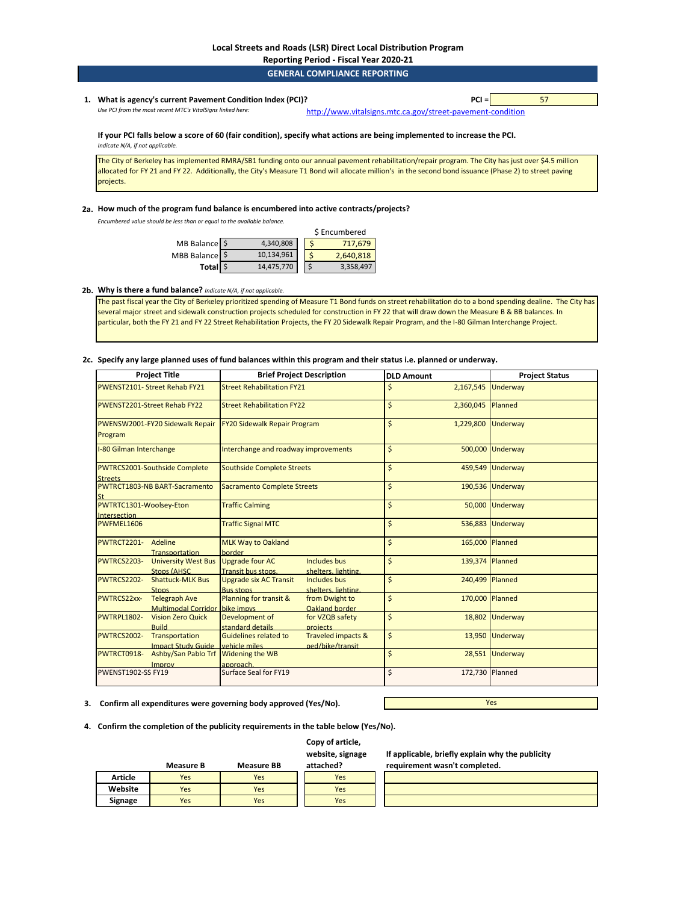**Reporting Period - Fiscal Year 2020-21**

|    |                                                                                                                                                             | <b>GENERAL COMPLIANCE REPORTING</b>                        |    |
|----|-------------------------------------------------------------------------------------------------------------------------------------------------------------|------------------------------------------------------------|----|
| 1. | What is agency's current Pavement Condition Index (PCI)?                                                                                                    | $PCI =$                                                    | 57 |
|    | Use PCI from the most recent MTC's VitalSigns linked here:                                                                                                  | http://www.vitalsigns.mtc.ca.gov/street-pavement-condition |    |
|    | If your PCI falls below a score of 60 (fair condition), specify what actions are being implemented to increase the PCI.<br>Indicate N/A, if not applicable. |                                                            |    |

The City of Berkeley has implemented RMRA/SB1 funding onto our annual pavement rehabilitation/repair program. The City has just over \$4.5 million allocated for FY 21 and FY 22. Additionally, the City's Measure T1 Bond will allocate million's in the second bond issuance (Phase 2) to street paving projects.

#### **2a. How much of the program fund balance is encumbered into active contracts/projects?**

*Encumbered value should be less than or equal to the available balance.* 

|                |            | \$ Encumbered |
|----------------|------------|---------------|
| MB Balance \$  | 4,340,808  | 717,679       |
| MBB Balance \$ | 10,134,961 | 2,640,818     |
| Total \$       | 14,475,770 | 3,358,497     |

## **2b. Why is there a fund balance?** *Indicate N/A, if not applicable.*

The past fiscal year the City of Berkeley prioritized spending of Measure T1 Bond funds on street rehabilitation do to a bond spending dealine. The City has several major street and sidewalk construction projects scheduled for construction in FY 22 that will draw down the Measure B & BB balances. In particular, both the FY 21 and FY 22 Street Rehabilitation Projects, the FY 20 Sidewalk Repair Program, and the I-80 Gilman Interchange Project.

#### **2c. Specify any large planned uses of fund balances within this program and their status i.e. planned or underway.**

| <b>Project Title</b>                                                         | <b>Brief Project Description</b>                                                         | <b>DLD Amount</b>     | <b>Project Status</b> |
|------------------------------------------------------------------------------|------------------------------------------------------------------------------------------|-----------------------|-----------------------|
| PWENST2101- Street Rehab FY21                                                | <b>Street Rehabilitation FY21</b>                                                        | 2,167,545<br>Ś        | <b>Underway</b>       |
| <b>PWENST2201-Street Rehab FY22</b>                                          | <b>Street Rehabilitation FY22</b>                                                        | \$<br>2,360,045       | Planned               |
| PWENSW2001-FY20 Sidewalk Repair<br>Program                                   | FY20 Sidewalk Repair Program                                                             | Ś.<br>1,229,800       | Underway              |
| I-80 Gilman Interchange                                                      | Interchange and roadway improvements                                                     | Ś.                    | 500,000 Underway      |
| <b>PWTRCS2001-Southside Complete</b><br><b>Streets</b>                       | <b>Southside Complete Streets</b>                                                        | \$                    | 459,549 Underway      |
| <b>PWTRCT1803-NB BART-Sacramento</b><br><b>St</b>                            | <b>Sacramento Complete Streets</b>                                                       | \$                    | 190,536 Underway      |
| PWTRTC1301-Woolsey-Eton<br>Intersection                                      | <b>Traffic Calming</b>                                                                   | \$                    | 50,000 Underway       |
| PWFMEL1606                                                                   | <b>Traffic Signal MTC</b>                                                                | \$                    | 536,883 Underway      |
| PWTRCT2201- Adeline<br><b>Transportation</b>                                 | <b>MLK Way to Oakland</b><br>border                                                      | \$<br>165,000 Planned |                       |
| PWTRCS2203-<br><b>University West Bus</b><br>Stops (AHSC                     | <b>Upgrade four AC</b><br>Includes bus<br>Transit bus stops.<br>shelters, lighting.      | \$<br>139.374 Planned |                       |
| <b>PWTRCS2202-</b><br><b>Shattuck-MLK Bus</b><br><b>Stops</b>                | <b>Upgrade six AC Transit</b><br>Includes bus<br><b>Bus stops</b><br>shelters, lighting. | \$<br>240,499 Planned |                       |
| <b>PWTRCS22xx-</b><br><b>Telegraph Ave</b><br>Multimodal Corridor bike impys | Planning for transit &<br>from Dwight to<br>Oakland border                               | \$<br>170,000 Planned |                       |
| PWTRPL1802-<br><b>Vision Zero Quick</b><br><b>Build</b>                      | Development of<br>for VZQB safety<br>standard details<br>projects                        | \$                    | 18,802 Underway       |
| PWTRCS2002-<br>Transportation<br><b>Impact Study Guide</b>                   | <b>Guidelines related to</b><br>Traveled impacts &<br>ped/bike/transit<br>vehicle miles  | \$                    | 13,950 Underway       |
| Ashby/San Pablo Trf<br>PWTRCT0918-<br><b>Improv</b>                          | <b>Widening the WB</b><br>approach.                                                      | \$                    | 28,551 Underway       |
| PWENST1902-SS FY19                                                           | Surface Seal for FY19                                                                    | \$<br>172,730 Planned |                       |

**3. Confirm all expenditures were governing body approved (Yes/No).**

Yes

**4. Confirm the completion of the publicity requirements in the table below (Yes/No).**

# **Copy of article,**

**website, signage** 

**If applicable, briefly explain why the publicity requirement wasn't completed.**

|         | Measure B | <b>Measure BB</b> | attached? |  |
|---------|-----------|-------------------|-----------|--|
| Article | Yes       | Yes               | Yes       |  |
| Website | Yes       | Yes               | Yes       |  |
| Signage | Yes       | Yes               | Yes       |  |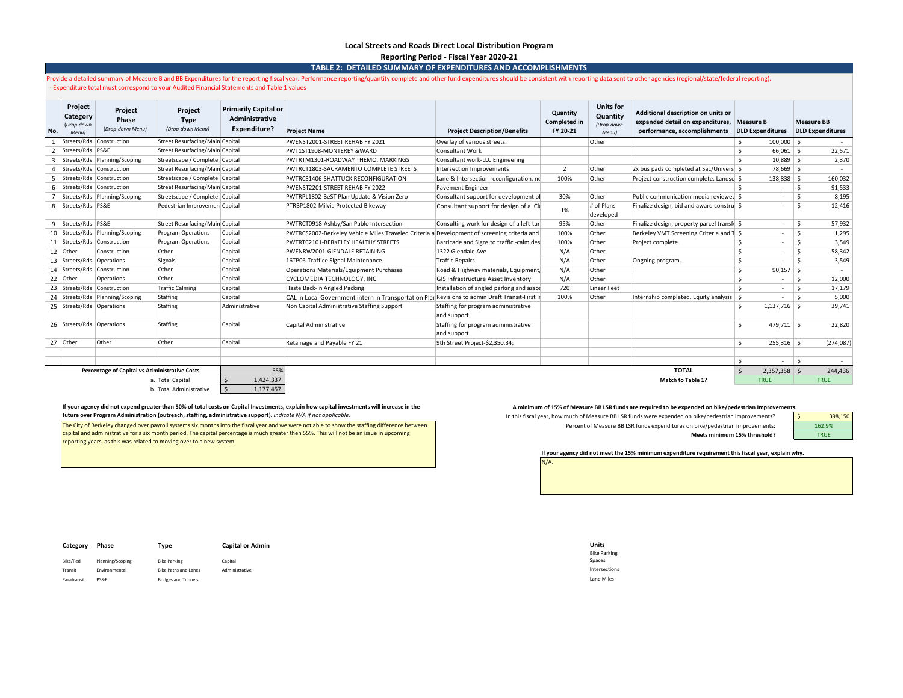#### **Local Streets and Roads Direct Local Distribution Program Reporting Period - Fiscal Year 2020-21**

**TABLE 2: DETAILED SUMMARY OF EXPENDITURES AND ACCOMPLISHMENTS**

Provide a detailed summary of Measure B and BB Expenditures for the reporting fiscal year. Performance reporting/quantity complete and other fund expenditures should be consistent with reporting data sent to other agencies - Expenditure total must correspond to your Audited Financial Statements and Table 1 values

| No.            | Project<br>Category<br>(Drop-down<br>Menu) | Project<br>Phase<br>(Drop-down Menu)                 | Project<br><b>Type</b><br>(Drop-down Menu) | <b>Primarily Capital or</b><br>Administrative<br>Expenditure? | <b>Project Name</b>                                                                            | <b>Project Description/Benefits</b>                | Quantity<br><b>Completed in</b><br>FY 20-21 | <b>Units for</b><br>Quantity<br>(Drop-down<br>Menu) | Additional description on units or<br>expanded detail on expenditures,<br>performance, accomplishments | Measure B<br><b>DLD Expenditures</b> |                | <b>Measure BB</b>  | <b>DLD Expenditures</b> |
|----------------|--------------------------------------------|------------------------------------------------------|--------------------------------------------|---------------------------------------------------------------|------------------------------------------------------------------------------------------------|----------------------------------------------------|---------------------------------------------|-----------------------------------------------------|--------------------------------------------------------------------------------------------------------|--------------------------------------|----------------|--------------------|-------------------------|
|                |                                            | Streets/Rds Construction                             | Street Resurfacing/Main Capital            |                                                               | PWENST2001-STREET REHAB FY 2021                                                                | Overlay of various streets.                        |                                             | Other                                               |                                                                                                        |                                      | $100,000$ \$   |                    |                         |
| $\overline{2}$ | Streets/Rds PS&E                           |                                                      | Street Resurfacing/Main Capital            |                                                               | PWT1ST1908-MONTEREY & WARD                                                                     | <b>Consultant Work</b>                             |                                             |                                                     |                                                                                                        | $\mathsf{\hat{S}}$                   | $66,061$ \$    |                    | 22,571                  |
| $\mathbf{3}$   |                                            | Streets/Rds Planning/Scoping                         | Streetscape / Complete : Capital           |                                                               | PWTRTM1301-ROADWAY THEMO, MARKINGS                                                             | Consultant work-LLC Engineering                    |                                             |                                                     |                                                                                                        | $\mathsf{\hat{S}}$                   | $10.889$ \$    |                    | 2,370                   |
| 4              |                                            | Streets/Rds Construction                             | Street Resurfacing/Main Capital            |                                                               | PWTRCT1803-SACRAMENTO COMPLETE STREETS                                                         | Intersection Improvements                          | $\overline{2}$                              | Other                                               | 2x bus pads completed at Sac/Univers \$                                                                |                                      | 78,669 \$      |                    | $\sim$                  |
| 5              |                                            | Streets/Rds Construction                             | Streetscape / Complete : Capital           |                                                               | PWTRCS1406-SHATTUCK RECONFIGURATION                                                            | Lane & Intersection reconfiguration, no            | 100%                                        | Other                                               | Project construction complete. Landsc \$                                                               |                                      | $138,838$ \$   |                    | 160,032                 |
|                |                                            | 6   Streets/Rds   Construction                       | Street Resurfacing/Main Capital            |                                                               | PWENST2201-STREET REHAB FY 2022                                                                | Pavement Engineer                                  |                                             |                                                     |                                                                                                        | $\dot{\mathbf{S}}$                   | $\sim$         | $\mathsf{\hat{S}}$ | 91,533                  |
|                |                                            | Streets/Rds   Planning/Scoping                       | Streetscape / Complete : Capital           |                                                               | PWTRPL1802-BeST Plan Update & Vision Zero                                                      | Consultant support for development of              | 30%                                         | Other                                               | Public communication media reviewed \$                                                                 |                                      |                | $\mathsf{\hat{S}}$ | 8,195                   |
|                | 8   Streets/Rds   PS&E                     |                                                      | Pedestrian Improvemen Capital              |                                                               | PTRBP1802-Milvia Protected Bikeway                                                             | Consultant support for design of a Cli             | 1%                                          | # of Plans<br>developed                             | Finalize design, bid and award constru                                                                 |                                      | $\sim$         | $\leq$             | 12,416                  |
|                | 9 Streets/Rds PS&E                         |                                                      | Street Resurfacing/Main Capital            |                                                               | PWTRCT0918-Ashby/San Pablo Intersection                                                        | Consulting work for design of a left-tur           | 95%                                         | Other                                               | Finalize design, property parcel transfe \$                                                            |                                      | $\sim$         | $\mathsf{\hat{S}}$ | 57,932                  |
|                |                                            | 10 Streets/Rds Planning/Scoping                      | Program Operations                         | Capital                                                       | PWTRCS2002-Berkeley Vehicle Miles Traveled Criteria a Development of screening criteria and    |                                                    | 100%                                        | Other                                               | Berkeley VMT Screening Criteria and T \$                                                               |                                      | $\sim$         | $\mathsf{\hat{S}}$ | 1,295                   |
|                |                                            | 11   Streets/Rds   Construction                      | <b>Program Operations</b>                  | Capital                                                       | PWTRTC2101-BERKELEY HEALTHY STREETS                                                            | Barricade and Signs to traffic -calm des           | 100%                                        | Other                                               | Project complete.                                                                                      | Ŝ.                                   | $\sim$         | Ŝ.                 | 3,549                   |
|                | 12 Other                                   | Construction                                         | Other                                      | Capital                                                       | PWENRW2001-GIENDALE RETAINING                                                                  | 1322 Glendale Ave                                  | N/A                                         | Other                                               |                                                                                                        | $\mathsf{\hat{S}}$                   |                | $\mathsf{\hat{S}}$ | 58,342                  |
|                | 13 Streets/Rds Operations                  |                                                      | Signals                                    | Capital                                                       | 16TP06-Traffice Signal Maintenance                                                             | <b>Traffic Repairs</b>                             | N/A                                         | Other                                               | Ongoing program.                                                                                       | Ŝ.                                   | <b>1999</b>    | $\zeta$            | 3,549                   |
|                |                                            | 14   Streets/Rds   Construction                      | Other                                      | Capital                                                       | Operations Materials/Equipment Purchases                                                       | Road & Highway materials, Equipment                | N/A                                         | Other                                               |                                                                                                        | \$                                   | $90,157$ \$    |                    | $\sim$                  |
|                | 22 Other                                   | Operations                                           | Other                                      | Capital                                                       | CYCLOMEDIA TECHNOLOGY. INC                                                                     | GIS Infrastructure Asset Inventory                 | N/A                                         | Other                                               |                                                                                                        | Ŝ.                                   |                | $\mathsf{\hat{S}}$ | 12,000                  |
|                |                                            | 23 Streets/Rds Construction                          | <b>Traffic Calming</b>                     | Capital                                                       | Haste Back-in Angled Packing                                                                   | Installation of angled parking and asso            | 720                                         | Linear Feet                                         |                                                                                                        | $\prec$                              | $\sim$         | $\mathsf{\hat{S}}$ | 17,179                  |
|                |                                            | 24 Streets/Rds Planning/Scoping                      | Staffing                                   | Capital                                                       | CAL in Local Government intern in Transportation Plar Revisions to admin Draft Transit-First I |                                                    | 100%                                        | Other                                               | Internship completed. Equity analysis   \$                                                             |                                      | $\sim$         | $\mathsf{\hat{S}}$ | 5,000                   |
|                | 25 Streets/Rds Operations                  |                                                      | Staffing                                   | Administrative                                                | Non Capital Administrative Staffing Support                                                    | Staffing for program administrative<br>and support |                                             |                                                     |                                                                                                        |                                      | $1,137,716$ \$ |                    | 39,741                  |
|                | 26 Streets/Rds Operations                  |                                                      | Staffing                                   | Capital                                                       | Capital Administrative                                                                         | Staffing for program administrative<br>and support |                                             |                                                     |                                                                                                        | Ŝ.                                   | $479,711$ \$   |                    | 22,820                  |
|                | 27 Other                                   | Other                                                | Other                                      | Capital                                                       | Retainage and Payable FY 21                                                                    | 9th Street Project-\$2,350.34;                     |                                             |                                                     |                                                                                                        | \$                                   | $255,316$ \$   |                    | (274, 087)              |
|                |                                            |                                                      |                                            |                                                               |                                                                                                |                                                    |                                             |                                                     |                                                                                                        | S.                                   |                | ۱s                 |                         |
|                |                                            | <b>Percentage of Capital vs Administrative Costs</b> |                                            | 55%                                                           |                                                                                                |                                                    |                                             |                                                     | <b>TOTAL</b>                                                                                           | - Ś                                  | $2,357,358$ \$ |                    | 244,436                 |
|                |                                            |                                                      | a. Total Capital                           | 1,424,337                                                     |                                                                                                |                                                    |                                             |                                                     | <b>Match to Table 1?</b>                                                                               |                                      | <b>TRUE</b>    |                    | <b>TRUE</b>             |
|                |                                            |                                                      | b. Total Administrative                    | 1,177,457                                                     |                                                                                                |                                                    |                                             |                                                     |                                                                                                        |                                      |                |                    |                         |

#### If your agency did not expend greater than 50% of total costs on Capital Investments, explain how capital investments, whalin how capital investments will increase in the Aminimum of 15% of Measure BB LSR funds are require **future over Program Administration (outreach, staffing, administrative support).** *Indicate N/A if not applicable.*

The City of Berkeley changed over payroll systems six months into the fiscal year and we were not able to show the staffing difference between capital and administrative for a six month period. The capital percentage is much greater then 55%. This will not be an issue in upcoming reporting years, as this was related to moving over to a new system.

In this fiscal year, how much of Measure BB LSR funds were expended on bike/pedestrian improvements? Percent of Measure BB LSR funds expenditures on bike/pedestrian improvements: **Meets minimum 15% threshold?**

398,150 162.9% TRUE

**If your agency did not meet the 15% minimum expenditure requirement this fiscal year, explain why.**

| Category    | Phase            | Type                        | <b>Capital or Admin</b> | <b>Units</b>        |
|-------------|------------------|-----------------------------|-------------------------|---------------------|
|             |                  |                             |                         | <b>Bike Parking</b> |
| Bike/Ped    | Planning/Scoping | <b>Bike Parking</b>         | Capital                 | Spaces              |
| Transit     | Environmental    | <b>Bike Paths and Lanes</b> | Administrative          | Intersections       |
| Paratransit | PS&E             | <b>Bridges and Tunnels</b>  |                         | Lane Miles          |

| Units               |
|---------------------|
| <b>Bike Parking</b> |
| Spaces              |
| Intersections       |
| Lane Miles          |

N/A.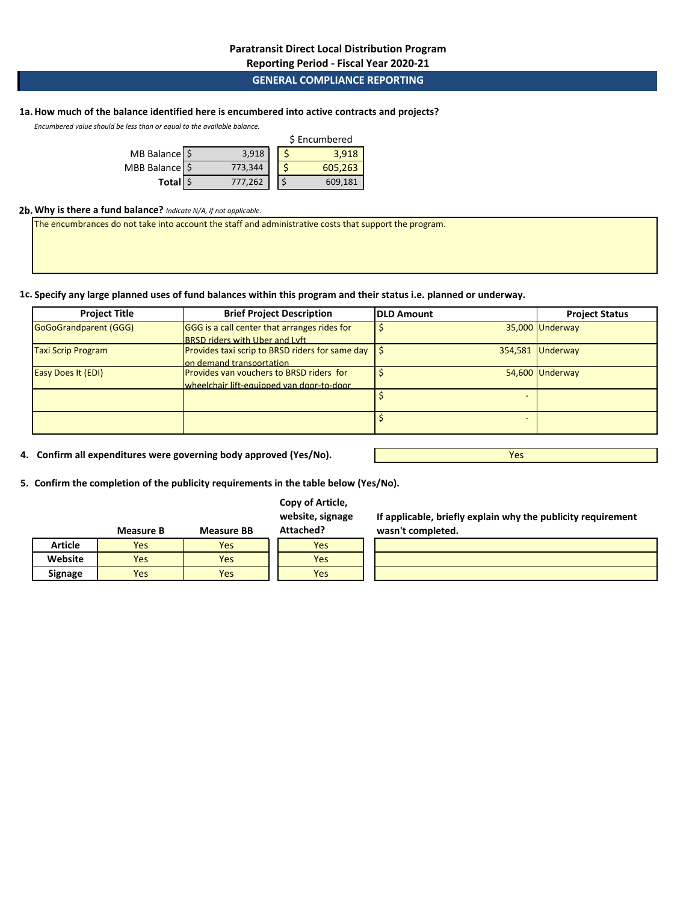# **Paratransit Direct Local Distribution Program**

**Reporting Period - Fiscal Year 2020-21**

# **GENERAL COMPLIANCE REPORTING**

# **1a.How much of the balance identified here is encumbered into active contracts and projects?**

*Encumbered value should be less than or equal to the available balance.* 

|                |         | \$ Encumbered |         |  |  |
|----------------|---------|---------------|---------|--|--|
| MB Balance \$  | 3.918   |               | 3.918   |  |  |
| MBB Balance \$ | 773,344 |               | 605,263 |  |  |
| Total \$       | 777,262 |               | 609.181 |  |  |

### **2b.Why is there a fund balance?** *Indicate N/A, if not applicable.*

The encumbrances do not take into account the staff and administrative costs that support the program.

**1c. Specify any large planned uses of fund balances within this program and their status i.e. planned or underway.**

| <b>Project Title</b>      | <b>Brief Project Description</b>                       | <b>DLD Amount</b> | <b>Project Status</b> |
|---------------------------|--------------------------------------------------------|-------------------|-----------------------|
| GoGoGrandparent (GGG)     | GGG is a call center that arranges rides for           |                   | 35,000 Underway       |
|                           | <b>BRSD riders with Uber and Lyft</b>                  |                   |                       |
| <b>Taxi Scrip Program</b> | <b>Provides taxi scrip to BRSD riders for same day</b> | 354,581           | Underway              |
|                           | on demand transportation                               |                   |                       |
| <b>Easy Does It (EDI)</b> | Provides van vouchers to BRSD riders for               |                   | 54,600 Underway       |
|                           | wheelchair lift-equipped van door-to-door              |                   |                       |
|                           |                                                        |                   |                       |
|                           |                                                        |                   |                       |

**4. Confirm all expenditures were governing body approved (Yes/No).**

Yes

**5. Confirm the completion of the publicity requirements in the table below (Yes/No).**

# **Copy of Article,**

**website, signage Attached?**

|         | Measure B | <b>Measure BB</b> | Attached? |  |  |
|---------|-----------|-------------------|-----------|--|--|
| Article | Yes       | Yes               | Yes       |  |  |
| Website | Yes       | Yes               | Yes       |  |  |
| Signage | Yes       | Yes               | Yes       |  |  |
|         |           |                   |           |  |  |

**If applicable, briefly explain why the publicity requirement wasn't completed.**